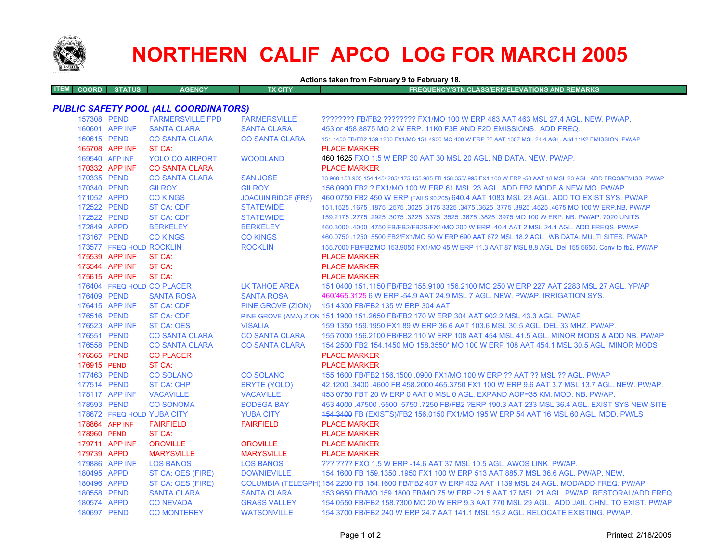

# **NORTHERN CALIF APCO LOG FOR MARCH 2005**

**Actions taken from February 9 to February 18.**

| <b>ITEM COORD</b> | STATUS | <b>AGENCY</b> | <b>FX CITY</b> | <b>FREQUENCY/STN CLASS/ERP/ELEVATIONS AND REMARKS</b> |
|-------------------|--------|---------------|----------------|-------------------------------------------------------|
|                   |        |               |                |                                                       |

## *PUBLIC SAFETY POOL (ALL COORDINATORS)*

| 157308 PEND    |                          | <b>FARMERSVILLE FPD</b>    | <b>FARMERSVILLE</b>        | ???????? FB/FB2 ???????? FX1/MO 100 W ERP 463 AAT 463 MSL 27.4 AGL. NEW. PW/AP.                                     |
|----------------|--------------------------|----------------------------|----------------------------|---------------------------------------------------------------------------------------------------------------------|
|                | 160601 APP INF           | <b>SANTA CLARA</b>         | <b>SANTA CLARA</b>         | 453 or 458,8875 MO 2 W ERP, 11K0 F3E AND F2D EMISSIONS. ADD FREQ.                                                   |
| 160615 PEND    |                          | <b>CO SANTA CLARA</b>      | <b>CO SANTA CLARA</b>      | 151.1450 FB/FB2 159.1200 FX1/MO 151.4900 MO 400 W ERP ?? AAT 1307 MSL 24.4 AGL. Add 11K2 EMISSION, PW/AP            |
|                | 165708 APP INF           | ST CA:                     |                            | <b>PLACE MARKER</b>                                                                                                 |
| 169540 APP INF |                          | <b>YOLO CO AIRPORT</b>     | <b>WOODLAND</b>            | 460.1625 FXO 1.5 W ERP 30 AAT 30 MSL 20 AGL, NB DATA, NEW, PW/AP,                                                   |
|                | 170332 APP INF           | <b>CO SANTA CLARA</b>      |                            | <b>PLACE MARKER</b>                                                                                                 |
| 170335 PEND    |                          | <b>CO SANTA CLARA</b>      | <b>SAN JOSE</b>            | 33.960 153.905 154.145/.205/.175 155.985 FB 158.355/.995 FX1 100 W ERP -50 AAT 18 MSL 23 AGL. ADD FRQS&EMISS. PW/AP |
| 170340 PEND    |                          | <b>GILROY</b>              | <b>GILROY</b>              | 156,0900 FB2 ? FX1/MO 100 W ERP 61 MSL 23 AGL. ADD FB2 MODE & NEW MO, PW/AP.                                        |
| 171052 APPD    |                          | <b>CO KINGS</b>            | <b>JOAQUIN RIDGE (FRS)</b> | 460.0750 FB2 450 W ERP (FAILS 90.205) 640.4 AAT 1083 MSL 23 AGL. ADD TO EXIST SYS. PW/AP                            |
| 172522 PEND    |                          | <b>ST CA: CDF</b>          | <b>STATEWIDE</b>           | 151.1525 .1675 .1875 .3025 .3175 .3625 .3775 .3925 .3775 .3925 .3475 .3625 .3475 .1675 .1675 .1675 .1675 .1679      |
| 172522 PEND    |                          | <b>ST CA: CDF</b>          | <b>STATEWIDE</b>           | 159.2175 .2775 .2925 .3075 .3225 .3375 .3525 .3675 .3825 .3975 MO 100 W ERP. NB. PW/AP. 7020 UNITS                  |
| 172849 APPD    |                          | <b>BERKELEY</b>            | <b>BERKELEY</b>            | 460.3000 .4000 .4750 FB/FB2/FB2S/FX1/MO 200 W ERP -40.4 AAT 2 MSL 24.4 AGL. ADD FREQS. PW/AP                        |
| 173167 PEND    |                          | <b>CO KINGS</b>            | <b>CO KINGS</b>            | 460.0750 .1250 .5500 FB2/FX1/MO 50 W ERP 690 AAT 672 MSL 18.2 AGL. WB DATA. MULTI SITES. PW/AP                      |
|                | 173577 FREQ HOLD ROCKLIN |                            | <b>ROCKLIN</b>             | 155,7000 FB/FB2/MO 153,9050 FX1/MO 45 W ERP 11.3 AAT 87 MSL 8.8 AGL, Del 155,5650, Conv to fb2, PW/AP               |
|                | 175539 APP INF           | ST CA:                     |                            | <b>PLACE MARKER</b>                                                                                                 |
|                | 175544 APP INF           | ST CA:                     |                            | <b>PLACE MARKER</b>                                                                                                 |
|                | 175615 APP INF           | ST CA:                     |                            | <b>PLACE MARKER</b>                                                                                                 |
|                |                          | 176404 FREQ HOLD CO PLACER | LK TAHOE AREA              | 151,0400 151,1150 FB/FB2 155,9100 156,2100 MO 250 W ERP 227 AAT 2283 MSL 27 AGL, YP/AP                              |
| 176409 PEND    |                          | <b>SANTA ROSA</b>          | <b>SANTA ROSA</b>          | 460/465.3125 6 W ERP -54.9 AAT 24.9 MSL 7 AGL. NEW. PW/AP. IRRIGATION SYS.                                          |
|                | 176415 APP INF           | <b>ST CA: CDF</b>          | PINE GROVE (ZION)          | 151.4300 FB/FB2 135 W ERP 304 AAT                                                                                   |
| 176516 PEND    |                          | <b>ST CA: CDF</b>          |                            | PINE GROVE (AMA) ZION 151.1900 151.2650 FB/FB2 170 W ERP 304 AAT 902.2 MSL 43.3 AGL. PW/AP                          |
|                | 176523 APP INF           | <b>ST CA: OES</b>          | <b>VISALIA</b>             | 159.1350 159.1950 FX1 89 W ERP 36.6 AAT 103.6 MSL 30.5 AGL, DEL 33 MHZ, PW/AP,                                      |
| 176551 PEND    |                          | <b>CO SANTA CLARA</b>      | <b>CO SANTA CLARA</b>      | 155,7000 156,2100 FB/FB2 110 W ERP 108 AAT 454 MSL 41.5 AGL, MINOR MODS & ADD NB, PW/AP                             |
| 176558 PEND    |                          | <b>CO SANTA CLARA</b>      | <b>CO SANTA CLARA</b>      | 154,2500 FB2 154,1450 MO 158,3550* MO 100 W ERP 108 AAT 454,1 MSL 30.5 AGL. MINOR MODS                              |
| 176565 PEND    |                          | <b>CO PLACER</b>           |                            | <b>PLACE MARKER</b>                                                                                                 |
| 176915 PEND    |                          | ST CA:                     |                            | <b>PLACE MARKER</b>                                                                                                 |
| 177463 PEND    |                          | <b>CO SOLANO</b>           | <b>CO SOLANO</b>           | 155.1600 FB/FB2 156.1500 .0900 FX1/MO 100 W ERP ?? AAT ?? MSL ?? AGL. PW/AP                                         |
| 177514 PEND    |                          | ST CA: CHP                 | BRYTE (YOLO)               | 42.1200 .3400 .4600 FB 458.2000 465.3750 FX1 100 W ERP 9.6 AAT 3.7 MSL 13.7 AGL. NEW. PW/AP.                        |
|                | 178117 APP INF           | <b>VACAVILLE</b>           | <b>VACAVILLE</b>           | 453.0750 FBT 20 W ERP 0 AAT 0 MSL 0 AGL. EXPAND AOP=35 KM, MOD, NB, PW/AP,                                          |
| 178593 PEND    |                          | <b>CO SONOMA</b>           | <b>BODEGA BAY</b>          | 453,4000 .47500 .5500 .5750 .7250 FB/FB2 ?ERP 190.3 AAT 233 MSL 36.4 AGL. EXIST SYS NEW SITE                        |
|                |                          | 178672 FREQ HOLD YUBA CITY | <b>YUBA CITY</b>           | 454.3400 FB (EXISTS)/FB2 156.0150 FX1/MO 195 W ERP 54 AAT 16 MSL 60 AGL. MOD. PW/LS                                 |
| 178864 APP INF |                          | <b>FAIRFIELD</b>           | <b>FAIRFIELD</b>           | <b>PLACE MARKER</b>                                                                                                 |
| 178960 PEND    |                          | ST CA:                     |                            | <b>PLACE MARKER</b>                                                                                                 |
|                | 179711 APP INF           | <b>OROVILLE</b>            | <b>OROVILLE</b>            | <b>PLACE MARKER</b>                                                                                                 |
| 179739 APPD    |                          | <b>MARYSVILLE</b>          | <b>MARYSVILLE</b>          | <b>PLACE MARKER</b>                                                                                                 |
|                | 179886 APP INF           | <b>LOS BANOS</b>           | <b>LOS BANOS</b>           | 222.2222 FXO 1.5 W ERP -14.6 AAT 37 MSL 10.5 AGL, AWOS LINK, PW/AP.                                                 |
| 180495 APPD    |                          | ST CA: OES (FIRE)          | <b>DOWNIEVILLE</b>         | 154.1600 FB 159.1350 .1950 FX1 100 W ERP 513 AAT 885.7 MSL 36.6 AGL. PW/AP. NEW.                                    |
| 180496 APPD    |                          | ST CA: OES (FIRE)          |                            | COLUMBIA (TELEGPH) 154.2200 FB 154.1600 FB/FB2 407 W ERP 432 AAT 1139 MSL 24 AGL. MOD/ADD FREQ. PW/AP               |
| 180558 PEND    |                          | <b>SANTA CLARA</b>         | <b>SANTA CLARA</b>         | 153,9650 FB/MO 159,1800 FB/MO 75 W ERP -21.5 AAT 17 MSL 21 AGL, PW/AP, RESTORAL/ADD FREQ                            |
| 180574 APPD    |                          | <b>CONEVADA</b>            | <b>GRASS VALLEY</b>        | 154.0550 FB/FB2 158.7300 MO 20 W ERP 9.3 AAT 770 MSL 29 AGL. ADD JAIL CHNL TO EXIST. PW/AP                          |
| 180697 PEND    |                          | <b>CO MONTEREY</b>         | <b>WATSONVILLE</b>         | 154.3700 FB/FB2 240 W ERP 24.7 AAT 141.1 MSL 15.2 AGL. RELOCATE EXISTING. PW/AP.                                    |
|                |                          |                            |                            |                                                                                                                     |